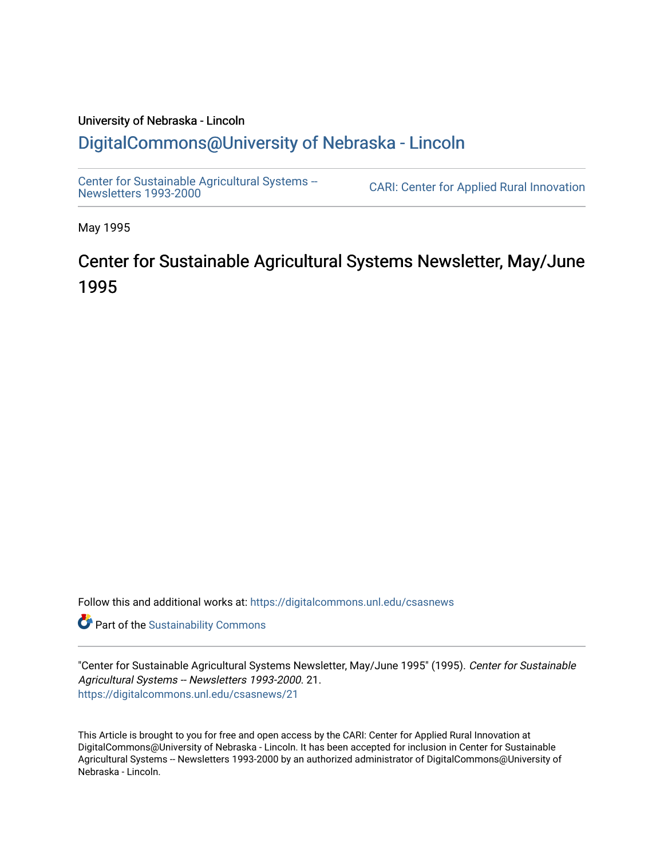# University of Nebraska - Lincoln [DigitalCommons@University of Nebraska - Lincoln](https://digitalcommons.unl.edu/)

[Center for Sustainable Agricultural Systems --](https://digitalcommons.unl.edu/csasnews)<br>Newsletters 1993-2000

CARI: Center for Applied Rural Innovation

May 1995

# Center for Sustainable Agricultural Systems Newsletter, May/June 1995

Follow this and additional works at: [https://digitalcommons.unl.edu/csasnews](https://digitalcommons.unl.edu/csasnews?utm_source=digitalcommons.unl.edu%2Fcsasnews%2F21&utm_medium=PDF&utm_campaign=PDFCoverPages) 

**Part of the [Sustainability Commons](http://network.bepress.com/hgg/discipline/1031?utm_source=digitalcommons.unl.edu%2Fcsasnews%2F21&utm_medium=PDF&utm_campaign=PDFCoverPages)** 

"Center for Sustainable Agricultural Systems Newsletter, May/June 1995" (1995). Center for Sustainable Agricultural Systems -- Newsletters 1993-2000. 21. [https://digitalcommons.unl.edu/csasnews/21](https://digitalcommons.unl.edu/csasnews/21?utm_source=digitalcommons.unl.edu%2Fcsasnews%2F21&utm_medium=PDF&utm_campaign=PDFCoverPages) 

This Article is brought to you for free and open access by the CARI: Center for Applied Rural Innovation at DigitalCommons@University of Nebraska - Lincoln. It has been accepted for inclusion in Center for Sustainable Agricultural Systems -- Newsletters 1993-2000 by an authorized administrator of DigitalCommons@University of Nebraska - Lincoln.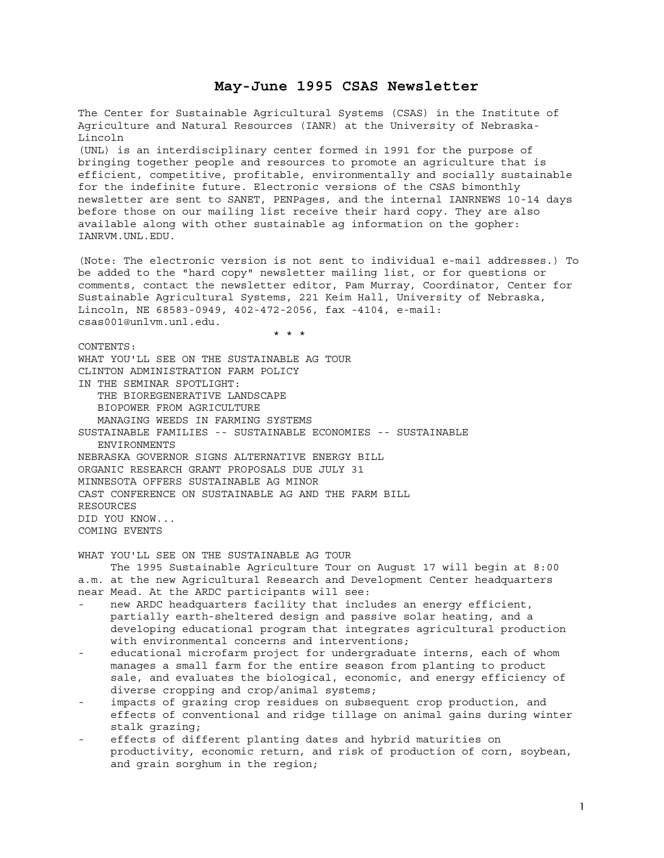# **May-June 1995 CSAS Newsletter**

The Center for Sustainable Agricultural Systems (CSAS) in the Institute of Agriculture and Natural Resources (IANR) at the University of Nebraska-Lincoln (UNL) is an interdisciplinary center formed in 1991 for the purpose of bringing together people and resources to promote an agriculture that is efficient, competitive, profitable, environmentally and socially sustainable for the indefinite future. Electronic versions of the CSAS bimonthly newsletter are sent to SANET, PENPages, and the internal IANRNEWS 10-14 days before those on our mailing list receive their hard copy. They are also available along with other sustainable ag information on the gopher: IANRVM.UNL.EDU. (Note: The electronic version is not sent to individual e-mail addresses.) To be added to the "hard copy" newsletter mailing list, or for questions or comments, contact the newsletter editor, Pam Murray, Coordinator, Center for Sustainable Agricultural Systems, 221 Keim Hall, University of Nebraska, Lincoln, NE 68583-0949, 402-472-2056, fax -4104, e-mail: csas001@unlvm.unl.edu. \* \* \* CONTENTS: WHAT YOU'LL SEE ON THE SUSTAINABLE AG TOUR CLINTON ADMINISTRATION FARM POLICY IN THE SEMINAR SPOTLIGHT: THE BIOREGENERATIVE LANDSCAPE BIOPOWER FROM AGRICULTURE MANAGING WEEDS IN FARMING SYSTEMS SUSTAINABLE FAMILIES -- SUSTAINABLE ECONOMIES -- SUSTAINABLE ENVIRONMENTS NEBRASKA GOVERNOR SIGNS ALTERNATIVE ENERGY BILL ORGANIC RESEARCH GRANT PROPOSALS DUE JULY 31 MINNESOTA OFFERS SUSTAINABLE AG MINOR CAST CONFERENCE ON SUSTAINABLE AG AND THE FARM BILL RESOURCES DID YOU KNOW... COMING EVENTS WHAT YOU'LL SEE ON THE SUSTAINABLE AG TOUR The 1995 Sustainable Agriculture Tour on August 17 will begin at 8:00 a.m. at the new Agricultural Research and Development Center headquarters near Mead. At the ARDC participants will see: new ARDC headquarters facility that includes an energy efficient, partially earth-sheltered design and passive solar heating, and a developing educational program that integrates agricultural production with environmental concerns and interventions;

- educational microfarm project for undergraduate interns, each of whom manages a small farm for the entire season from planting to product sale, and evaluates the biological, economic, and energy efficiency of diverse cropping and crop/animal systems;
- impacts of grazing crop residues on subsequent crop production, and effects of conventional and ridge tillage on animal gains during winter stalk grazing;
- effects of different planting dates and hybrid maturities on productivity, economic return, and risk of production of corn, soybean, and grain sorghum in the region;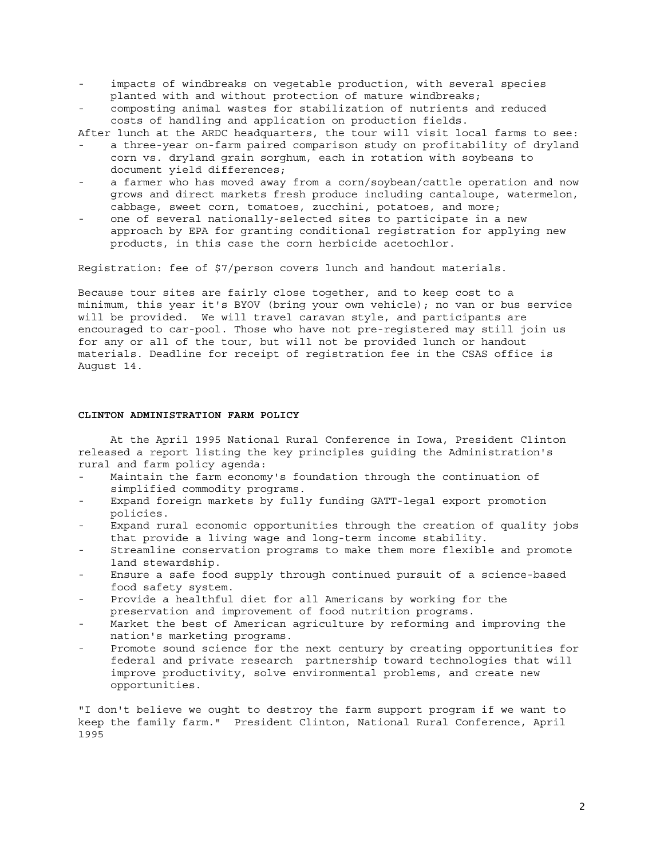- impacts of windbreaks on vegetable production, with several species planted with and without protection of mature windbreaks;
- composting animal wastes for stabilization of nutrients and reduced costs of handling and application on production fields.

After lunch at the ARDC headquarters, the tour will visit local farms to see:

- a three-year on-farm paired comparison study on profitability of dryland corn vs. dryland grain sorghum, each in rotation with soybeans to document yield differences;
- a farmer who has moved away from a corn/soybean/cattle operation and now grows and direct markets fresh produce including cantaloupe, watermelon, cabbage, sweet corn, tomatoes, zucchini, potatoes, and more;
- one of several nationally-selected sites to participate in a new approach by EPA for granting conditional registration for applying new products, in this case the corn herbicide acetochlor.

Registration: fee of \$7/person covers lunch and handout materials.

Because tour sites are fairly close together, and to keep cost to a minimum, this year it's BYOV (bring your own vehicle); no van or bus service will be provided. We will travel caravan style, and participants are encouraged to car-pool. Those who have not pre-registered may still join us for any or all of the tour, but will not be provided lunch or handout materials. Deadline for receipt of registration fee in the CSAS office is August 14.

#### **CLINTON ADMINISTRATION FARM POLICY**

 At the April 1995 National Rural Conference in Iowa, President Clinton released a report listing the key principles guiding the Administration's rural and farm policy agenda:

- Maintain the farm economy's foundation through the continuation of simplified commodity programs.
- Expand foreign markets by fully funding GATT-legal export promotion policies.
- Expand rural economic opportunities through the creation of quality jobs that provide a living wage and long-term income stability.
- Streamline conservation programs to make them more flexible and promote land stewardship.
- Ensure a safe food supply through continued pursuit of a science-based food safety system.
- Provide a healthful diet for all Americans by working for the preservation and improvement of food nutrition programs.
- Market the best of American agriculture by reforming and improving the nation's marketing programs.
- Promote sound science for the next century by creating opportunities for federal and private research partnership toward technologies that will improve productivity, solve environmental problems, and create new opportunities.

"I don't believe we ought to destroy the farm support program if we want to keep the family farm." President Clinton, National Rural Conference, April 1995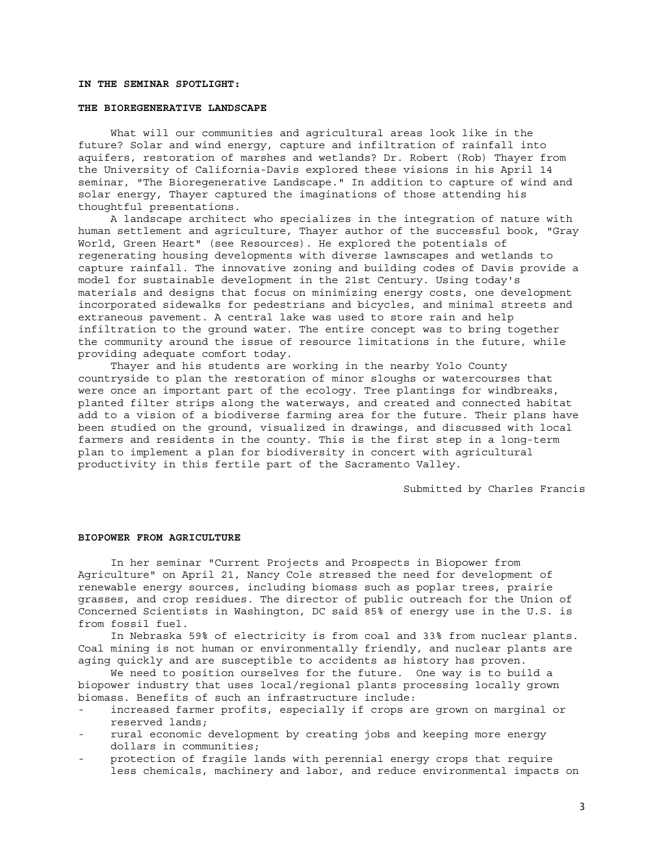# **IN THE SEMINAR SPOTLIGHT:**

#### **THE BIOREGENERATIVE LANDSCAPE**

 What will our communities and agricultural areas look like in the future? Solar and wind energy, capture and infiltration of rainfall into aquifers, restoration of marshes and wetlands? Dr. Robert (Rob) Thayer from the University of California-Davis explored these visions in his April 14 seminar, "The Bioregenerative Landscape." In addition to capture of wind and solar energy, Thayer captured the imaginations of those attending his thoughtful presentations.

 A landscape architect who specializes in the integration of nature with human settlement and agriculture, Thayer author of the successful book, "Gray World, Green Heart" (see Resources). He explored the potentials of regenerating housing developments with diverse lawnscapes and wetlands to capture rainfall. The innovative zoning and building codes of Davis provide a model for sustainable development in the 21st Century. Using today's materials and designs that focus on minimizing energy costs, one development incorporated sidewalks for pedestrians and bicycles, and minimal streets and extraneous pavement. A central lake was used to store rain and help infiltration to the ground water. The entire concept was to bring together the community around the issue of resource limitations in the future, while providing adequate comfort today.

 Thayer and his students are working in the nearby Yolo County countryside to plan the restoration of minor sloughs or watercourses that were once an important part of the ecology. Tree plantings for windbreaks, planted filter strips along the waterways, and created and connected habitat add to a vision of a biodiverse farming area for the future. Their plans have been studied on the ground, visualized in drawings, and discussed with local farmers and residents in the county. This is the first step in a long-term plan to implement a plan for biodiversity in concert with agricultural productivity in this fertile part of the Sacramento Valley.

Submitted by Charles Francis

#### **BIOPOWER FROM AGRICULTURE**

 In her seminar "Current Projects and Prospects in Biopower from Agriculture" on April 21, Nancy Cole stressed the need for development of renewable energy sources, including biomass such as poplar trees, prairie grasses, and crop residues. The director of public outreach for the Union of Concerned Scientists in Washington, DC said 85% of energy use in the U.S. is from fossil fuel.

 In Nebraska 59% of electricity is from coal and 33% from nuclear plants. Coal mining is not human or environmentally friendly, and nuclear plants are aging quickly and are susceptible to accidents as history has proven.

 We need to position ourselves for the future. One way is to build a biopower industry that uses local/regional plants processing locally grown biomass. Benefits of such an infrastructure include:

- increased farmer profits, especially if crops are grown on marginal or reserved lands;
- rural economic development by creating jobs and keeping more energy dollars in communities;
- protection of fragile lands with perennial energy crops that require less chemicals, machinery and labor, and reduce environmental impacts on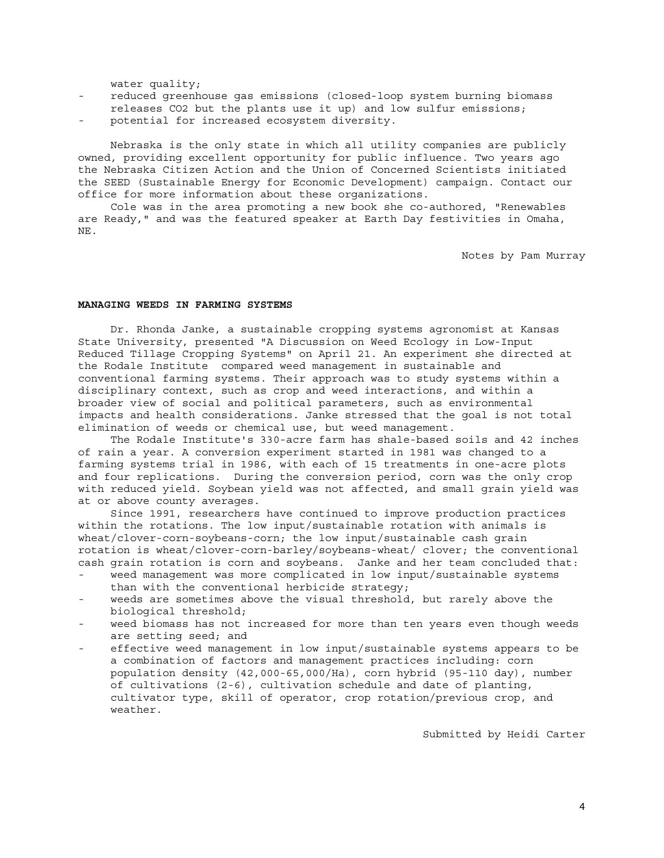water quality;

- reduced greenhouse gas emissions (closed-loop system burning biomass releases CO2 but the plants use it up) and low sulfur emissions;
- potential for increased ecosystem diversity.

 Nebraska is the only state in which all utility companies are publicly owned, providing excellent opportunity for public influence. Two years ago the Nebraska Citizen Action and the Union of Concerned Scientists initiated the SEED (Sustainable Energy for Economic Development) campaign. Contact our office for more information about these organizations.

 Cole was in the area promoting a new book she co-authored, "Renewables are Ready," and was the featured speaker at Earth Day festivities in Omaha, NE.

Notes by Pam Murray

# **MANAGING WEEDS IN FARMING SYSTEMS**

 Dr. Rhonda Janke, a sustainable cropping systems agronomist at Kansas State University, presented "A Discussion on Weed Ecology in Low-Input Reduced Tillage Cropping Systems" on April 21. An experiment she directed at the Rodale Institute compared weed management in sustainable and conventional farming systems. Their approach was to study systems within a disciplinary context, such as crop and weed interactions, and within a broader view of social and political parameters, such as environmental impacts and health considerations. Janke stressed that the goal is not total elimination of weeds or chemical use, but weed management.

 The Rodale Institute's 330-acre farm has shale-based soils and 42 inches of rain a year. A conversion experiment started in 1981 was changed to a farming systems trial in 1986, with each of 15 treatments in one-acre plots and four replications. During the conversion period, corn was the only crop with reduced yield. Soybean yield was not affected, and small grain yield was at or above county averages.

 Since 1991, researchers have continued to improve production practices within the rotations. The low input/sustainable rotation with animals is wheat/clover-corn-soybeans-corn; the low input/sustainable cash grain rotation is wheat/clover-corn-barley/soybeans-wheat/ clover; the conventional cash grain rotation is corn and soybeans. Janke and her team concluded that:

- weed management was more complicated in low input/sustainable systems than with the conventional herbicide strategy;
- weeds are sometimes above the visual threshold, but rarely above the biological threshold;
- weed biomass has not increased for more than ten years even though weeds are setting seed; and
- effective weed management in low input/sustainable systems appears to be a combination of factors and management practices including: corn population density (42,000-65,000/Ha), corn hybrid (95-110 day), number of cultivations (2-6), cultivation schedule and date of planting, cultivator type, skill of operator, crop rotation/previous crop, and weather.

Submitted by Heidi Carter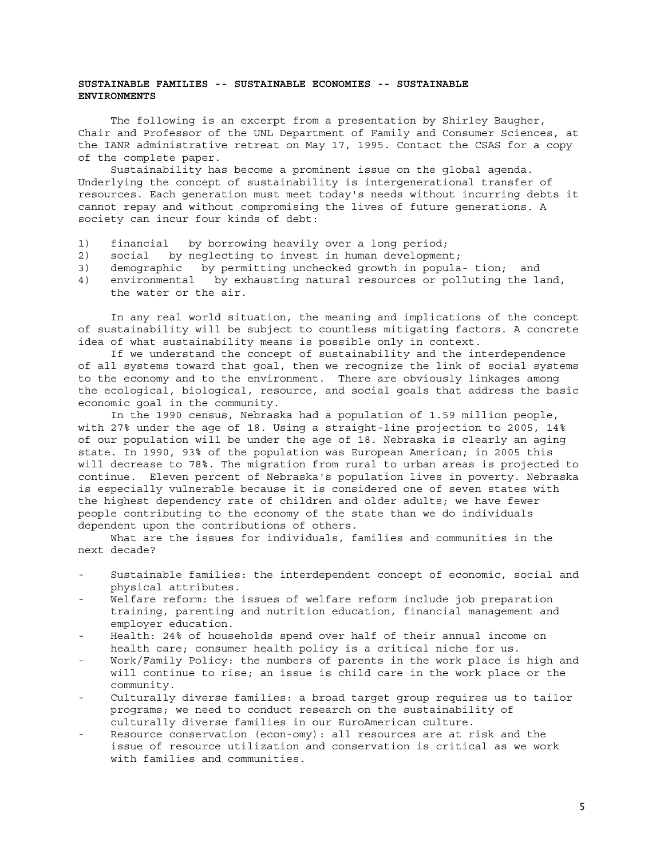# **SUSTAINABLE FAMILIES -- SUSTAINABLE ECONOMIES -- SUSTAINABLE ENVIRONMENTS**

 The following is an excerpt from a presentation by Shirley Baugher, Chair and Professor of the UNL Department of Family and Consumer Sciences, at the IANR administrative retreat on May 17, 1995. Contact the CSAS for a copy of the complete paper.

 Sustainability has become a prominent issue on the global agenda. Underlying the concept of sustainability is intergenerational transfer of resources. Each generation must meet today's needs without incurring debts it cannot repay and without compromising the lives of future generations. A society can incur four kinds of debt:

- 1) financial by borrowing heavily over a long period;
- 2) social by neglecting to invest in human development;
- 3) demographic by permitting unchecked growth in popula- tion; and
- 4) environmental by exhausting natural resources or polluting the land, the water or the air.

 In any real world situation, the meaning and implications of the concept of sustainability will be subject to countless mitigating factors. A concrete idea of what sustainability means is possible only in context.

 If we understand the concept of sustainability and the interdependence of all systems toward that goal, then we recognize the link of social systems to the economy and to the environment. There are obviously linkages among the ecological, biological, resource, and social goals that address the basic economic goal in the community.

 In the 1990 census, Nebraska had a population of 1.59 million people, with 27% under the age of 18. Using a straight-line projection to 2005, 14% of our population will be under the age of 18. Nebraska is clearly an aging state. In 1990, 93% of the population was European American; in 2005 this will decrease to 78%. The migration from rural to urban areas is projected to continue. Eleven percent of Nebraska's population lives in poverty. Nebraska is especially vulnerable because it is considered one of seven states with the highest dependency rate of children and older adults; we have fewer people contributing to the economy of the state than we do individuals dependent upon the contributions of others.

 What are the issues for individuals, families and communities in the next decade?

- Sustainable families: the interdependent concept of economic, social and physical attributes.
- Welfare reform: the issues of welfare reform include job preparation training, parenting and nutrition education, financial management and employer education.
- Health: 24% of households spend over half of their annual income on health care; consumer health policy is a critical niche for us.
- Work/Family Policy: the numbers of parents in the work place is high and will continue to rise; an issue is child care in the work place or the community.
- Culturally diverse families: a broad target group requires us to tailor programs; we need to conduct research on the sustainability of culturally diverse families in our EuroAmerican culture.
- Resource conservation (econ-omy): all resources are at risk and the issue of resource utilization and conservation is critical as we work with families and communities.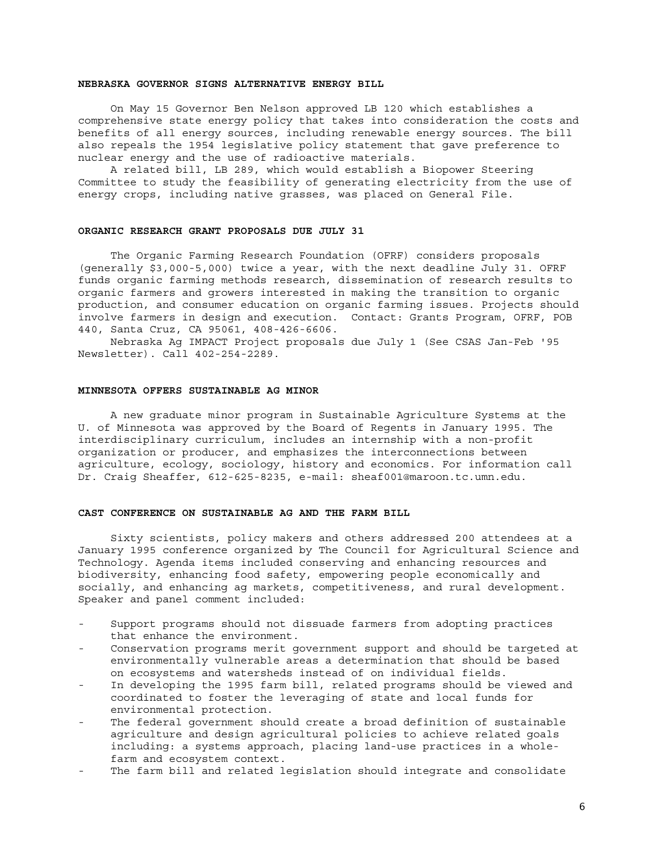#### **NEBRASKA GOVERNOR SIGNS ALTERNATIVE ENERGY BILL**

 On May 15 Governor Ben Nelson approved LB 120 which establishes a comprehensive state energy policy that takes into consideration the costs and benefits of all energy sources, including renewable energy sources. The bill also repeals the 1954 legislative policy statement that gave preference to nuclear energy and the use of radioactive materials.

 A related bill, LB 289, which would establish a Biopower Steering Committee to study the feasibility of generating electricity from the use of energy crops, including native grasses, was placed on General File.

#### **ORGANIC RESEARCH GRANT PROPOSALS DUE JULY 31**

 The Organic Farming Research Foundation (OFRF) considers proposals (generally \$3,000-5,000) twice a year, with the next deadline July 31. OFRF funds organic farming methods research, dissemination of research results to organic farmers and growers interested in making the transition to organic production, and consumer education on organic farming issues. Projects should involve farmers in design and execution. Contact: Grants Program, OFRF, POB 440, Santa Cruz, CA 95061, 408-426-6606.

 Nebraska Ag IMPACT Project proposals due July 1 (See CSAS Jan-Feb '95 Newsletter). Call 402-254-2289.

## **MINNESOTA OFFERS SUSTAINABLE AG MINOR**

 A new graduate minor program in Sustainable Agriculture Systems at the U. of Minnesota was approved by the Board of Regents in January 1995. The interdisciplinary curriculum, includes an internship with a non-profit organization or producer, and emphasizes the interconnections between agriculture, ecology, sociology, history and economics. For information call Dr. Craig Sheaffer, 612-625-8235, e-mail: sheaf001@maroon.tc.umn.edu.

## **CAST CONFERENCE ON SUSTAINABLE AG AND THE FARM BILL**

 Sixty scientists, policy makers and others addressed 200 attendees at a January 1995 conference organized by The Council for Agricultural Science and Technology. Agenda items included conserving and enhancing resources and biodiversity, enhancing food safety, empowering people economically and socially, and enhancing ag markets, competitiveness, and rural development. Speaker and panel comment included:

- Support programs should not dissuade farmers from adopting practices that enhance the environment.
- Conservation programs merit government support and should be targeted at environmentally vulnerable areas a determination that should be based on ecosystems and watersheds instead of on individual fields.
- In developing the 1995 farm bill, related programs should be viewed and coordinated to foster the leveraging of state and local funds for environmental protection.
- The federal government should create a broad definition of sustainable agriculture and design agricultural policies to achieve related goals including: a systems approach, placing land-use practices in a whole farm and ecosystem context.
- The farm bill and related legislation should integrate and consolidate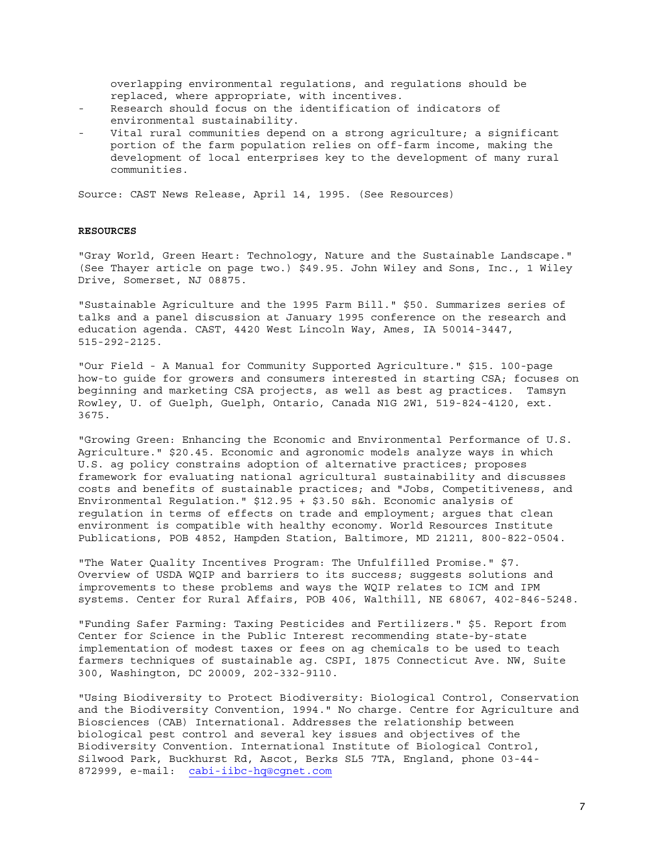overlapping environmental regulations, and regulations should be replaced, where appropriate, with incentives.

- Research should focus on the identification of indicators of environmental sustainability.
- Vital rural communities depend on a strong agriculture; a significant portion of the farm population relies on off-farm income, making the development of local enterprises key to the development of many rural communities.

Source: CAST News Release, April 14, 1995. (See Resources)

#### **RESOURCES**

"Gray World, Green Heart: Technology, Nature and the Sustainable Landscape." (See Thayer article on page two.) \$49.95. John Wiley and Sons, Inc., 1 Wiley Drive, Somerset, NJ 08875.

"Sustainable Agriculture and the 1995 Farm Bill." \$50. Summarizes series of talks and a panel discussion at January 1995 conference on the research and education agenda. CAST, 4420 West Lincoln Way, Ames, IA 50014-3447, 515-292-2125.

"Our Field - A Manual for Community Supported Agriculture." \$15. 100-page how-to guide for growers and consumers interested in starting CSA; focuses on beginning and marketing CSA projects, as well as best ag practices. Tamsyn Rowley, U. of Guelph, Guelph, Ontario, Canada N1G 2W1, 519-824-4120, ext. 3675.

"Growing Green: Enhancing the Economic and Environmental Performance of U.S. Agriculture." \$20.45. Economic and agronomic models analyze ways in which U.S. ag policy constrains adoption of alternative practices; proposes framework for evaluating national agricultural sustainability and discusses costs and benefits of sustainable practices; and "Jobs, Competitiveness, and Environmental Regulation." \$12.95 + \$3.50 s&h. Economic analysis of regulation in terms of effects on trade and employment; argues that clean environment is compatible with healthy economy. World Resources Institute Publications, POB 4852, Hampden Station, Baltimore, MD 21211, 800-822-0504.

"The Water Quality Incentives Program: The Unfulfilled Promise." \$7. Overview of USDA WQIP and barriers to its success; suggests solutions and improvements to these problems and ways the WQIP relates to ICM and IPM systems. Center for Rural Affairs, POB 406, Walthill, NE 68067, 402-846-5248.

"Funding Safer Farming: Taxing Pesticides and Fertilizers." \$5. Report from Center for Science in the Public Interest recommending state-by-state implementation of modest taxes or fees on ag chemicals to be used to teach farmers techniques of sustainable ag. CSPI, 1875 Connecticut Ave. NW, Suite 300, Washington, DC 20009, 202-332-9110.

"Using Biodiversity to Protect Biodiversity: Biological Control, Conservation and the Biodiversity Convention, 1994." No charge. Centre for Agriculture and Biosciences (CAB) International. Addresses the relationship between biological pest control and several key issues and objectives of the Biodiversity Convention. International Institute of Biological Control, Silwood Park, Buckhurst Rd, Ascot, Berks SL5 7TA, England, phone 03-44- 872999, e-mail: cabi-iibc-hq@cgnet.com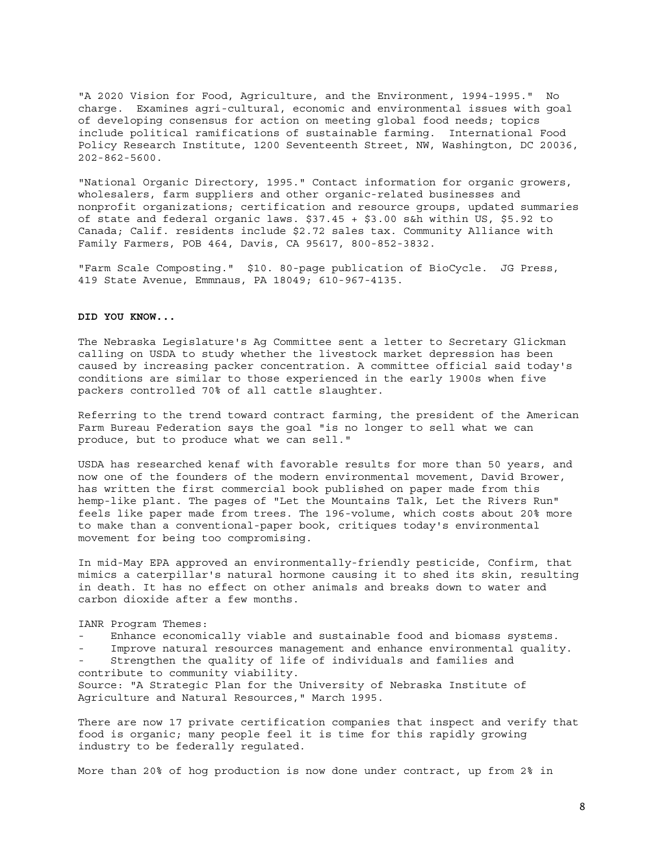"A 2020 Vision for Food, Agriculture, and the Environment, 1994-1995." No charge. Examines agri-cultural, economic and environmental issues with goal of developing consensus for action on meeting global food needs; topics include political ramifications of sustainable farming. International Food Policy Research Institute, 1200 Seventeenth Street, NW, Washington, DC 20036, 202-862-5600.

"National Organic Directory, 1995." Contact information for organic growers, wholesalers, farm suppliers and other organic-related businesses and nonprofit organizations; certification and resource groups, updated summaries of state and federal organic laws. \$37.45 + \$3.00 s&h within US, \$5.92 to Canada; Calif. residents include \$2.72 sales tax. Community Alliance with Family Farmers, POB 464, Davis, CA 95617, 800-852-3832.

"Farm Scale Composting." \$10. 80-page publication of BioCycle. JG Press, 419 State Avenue, Emmnaus, PA 18049; 610-967-4135.

#### **DID YOU KNOW...**

The Nebraska Legislature's Ag Committee sent a letter to Secretary Glickman calling on USDA to study whether the livestock market depression has been caused by increasing packer concentration. A committee official said today's conditions are similar to those experienced in the early 1900s when five packers controlled 70% of all cattle slaughter.

Referring to the trend toward contract farming, the president of the American Farm Bureau Federation says the goal "is no longer to sell what we can produce, but to produce what we can sell."

USDA has researched kenaf with favorable results for more than 50 years, and now one of the founders of the modern environmental movement, David Brower, has written the first commercial book published on paper made from this hemp-like plant. The pages of "Let the Mountains Talk, Let the Rivers Run" feels like paper made from trees. The 196-volume, which costs about 20% more to make than a conventional-paper book, critiques today's environmental movement for being too compromising.

In mid-May EPA approved an environmentally-friendly pesticide, Confirm, that mimics a caterpillar's natural hormone causing it to shed its skin, resulting in death. It has no effect on other animals and breaks down to water and carbon dioxide after a few months.

# IANR Program Themes:

- Enhance economically viable and sustainable food and biomass systems.
- Improve natural resources management and enhance environmental quality.
- Strengthen the quality of life of individuals and families and contribute to community viability.

Source: "A Strategic Plan for the University of Nebraska Institute of Agriculture and Natural Resources," March 1995.

There are now 17 private certification companies that inspect and verify that food is organic; many people feel it is time for this rapidly growing industry to be federally regulated.

More than 20% of hog production is now done under contract, up from 2% in